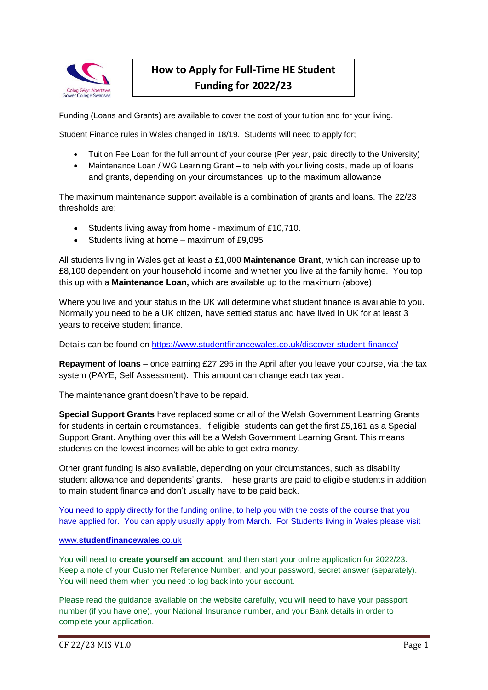

# **How to Apply for Full-Time HE Student Funding for 2022/23**

Funding (Loans and Grants) are available to cover the cost of your tuition and for your living.

Student Finance rules in Wales changed in 18/19. Students will need to apply for;

- Tuition Fee Loan for the full amount of your course (Per year, paid directly to the University)
- Maintenance Loan / WG Learning Grant to help with your living costs, made up of loans and grants, depending on your circumstances, up to the maximum allowance

The maximum maintenance support available is a combination of grants and loans. The 22/23 thresholds are;

- Students living away from home maximum of £10,710.
- $\bullet$  Students living at home maximum of £9,095

All students living in Wales get at least a £1,000 **Maintenance Grant**, which can increase up to £8,100 dependent on your household income and whether you live at the family home. You top this up with a **Maintenance Loan,** which are available up to the maximum (above).

Where you live and your status in the UK will determine what student finance is available to you. Normally you need to be a UK citizen, have settled status and have lived in UK for at least 3 years to receive student finance.

Details can be found on<https://www.studentfinancewales.co.uk/discover-student-finance/>

**Repayment of loans** – once earning £27,295 in the April after you leave your course, via the tax system (PAYE, Self Assessment). This amount can change each tax year.

The maintenance grant doesn't have to be repaid.

**Special Support Grants** have replaced some or all of the Welsh Government Learning Grants for students in certain circumstances. If eligible, students can get the first £5,161 as a Special Support Grant. Anything over this will be a Welsh Government Learning Grant. This means students on the lowest incomes will be able to get extra money.

Other grant funding is also available, depending on your circumstances, such as disability student allowance and dependents' grants. These grants are paid to eligible students in addition to main student finance and don't usually have to be paid back.

You need to apply directly for the funding online, to help you with the costs of the course that you have applied for. You can apply usually apply from March. For Students living in Wales please visit

# www.**[studentfinancewales](http://www.studentfinancewales.co.uk/)**.co.uk

You will need to **create yourself an account**, and then start your online application for 2022/23. Keep a note of your Customer Reference Number, and your password, secret answer (separately). You will need them when you need to log back into your account.

Please read the guidance available on the website carefully, you will need to have your passport number (if you have one), your National Insurance number, and your Bank details in order to complete your application.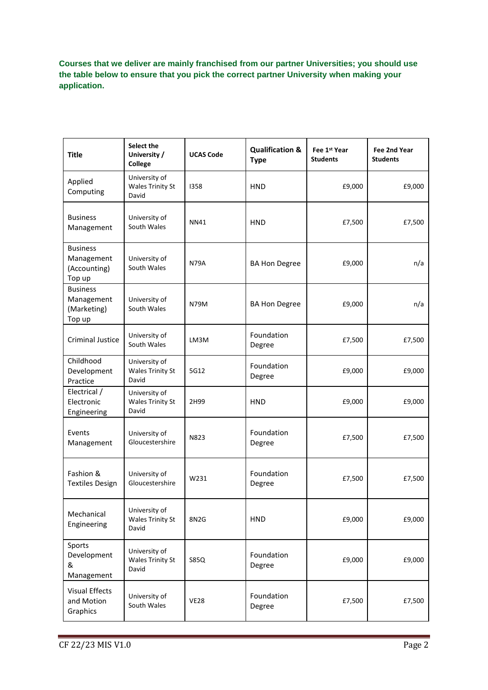**Courses that we deliver are mainly franchised from our partner Universities; you should use the table below to ensure that you pick the correct partner University when making your application.**

| <b>Title</b>                                            | Select the<br>University /<br>College             | <b>UCAS Code</b> | <b>Qualification &amp;</b><br><b>Type</b> | Fee 1 <sup>st</sup> Year<br><b>Students</b> | Fee 2nd Year<br><b>Students</b> |
|---------------------------------------------------------|---------------------------------------------------|------------------|-------------------------------------------|---------------------------------------------|---------------------------------|
| Applied<br>Computing                                    | University of<br><b>Wales Trinity St</b><br>David | 1358             | <b>HND</b>                                | £9,000                                      | £9,000                          |
| <b>Business</b><br>Management                           | University of<br>South Wales                      | <b>NN41</b>      | <b>HND</b>                                | £7,500                                      | £7,500                          |
| <b>Business</b><br>Management<br>(Accounting)<br>Top up | University of<br>South Wales                      | <b>N79A</b>      | <b>BA Hon Degree</b>                      | £9,000                                      | n/a                             |
| <b>Business</b><br>Management<br>(Marketing)<br>Top up  | University of<br>South Wales                      | N79M             | <b>BA Hon Degree</b>                      | £9,000                                      | n/a                             |
| Criminal Justice                                        | University of<br>South Wales                      | LM3M             | Foundation<br>Degree                      | £7,500                                      | £7,500                          |
| Childhood<br>Development<br>Practice                    | University of<br><b>Wales Trinity St</b><br>David | 5G12             | Foundation<br>Degree                      | £9,000                                      | £9,000                          |
| Electrical /<br>Electronic<br>Engineering               | University of<br><b>Wales Trinity St</b><br>David | 2H99             | <b>HND</b>                                | £9,000                                      | £9,000                          |
| Events<br>Management                                    | University of<br>Gloucestershire                  | N823             | Foundation<br>Degree                      | £7,500                                      | £7,500                          |
| Fashion &<br><b>Textiles Design</b>                     | University of<br>Gloucestershire                  | W231             | Foundation<br>Degree                      | £7,500                                      | £7,500                          |
| Mechanical<br>Engineering                               | University of<br><b>Wales Trinity St</b><br>David | 8N2G             | <b>HND</b>                                | £9,000                                      | £9,000                          |
| Sports<br>Development<br>&<br>Management                | University of<br><b>Wales Trinity St</b><br>David | S85Q             | Foundation<br>Degree                      | £9,000                                      | £9,000                          |
| <b>Visual Effects</b><br>and Motion<br>Graphics         | University of<br>South Wales                      | <b>VE28</b>      | Foundation<br>Degree                      | £7,500                                      | £7,500                          |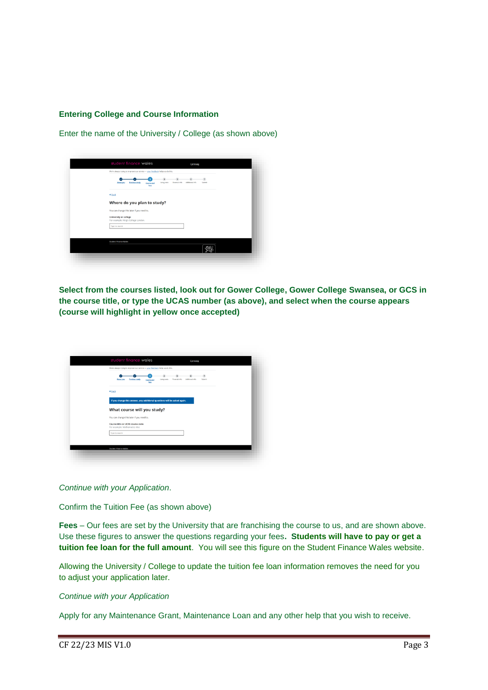# **Entering College and Course Information**

Enter the name of the University / College (as shown above)



**Select from the courses listed, look out for Gower College, Gower College Swansea, or GCS in the course title, or type the UCAS number (as above), and select when the course appears (course will highlight in yellow once accepted)**

| We're always trying to improve our service - your feedback helps us do this.                                                            |
|-----------------------------------------------------------------------------------------------------------------------------------------|
| $\mathbf{r}$<br>Submit<br>Living costs<br>Financial info<br>Additional Info<br>About you<br><b>Provisus</b> study<br>Course and<br>fees |
| 4 Back                                                                                                                                  |
| If you change this answer, any additional questions will be asked again.                                                                |
| What course will you study?                                                                                                             |
| You can change this later if you need to.<br>Course title or UCAS course code<br>For example: Mathematics Msc                           |
| Type to search                                                                                                                          |
|                                                                                                                                         |
| Student Finance Wales                                                                                                                   |

*Continue with your Application*.

Confirm the Tuition Fee (as shown above)

**Fees** – Our fees are set by the University that are franchising the course to us, and are shown above. Use these figures to answer the questions regarding your fees**. Students will have to pay or get a tuition fee loan for the full amount**. You will see this figure on the Student Finance Wales website.

Allowing the University / College to update the tuition fee loan information removes the need for you to adjust your application later.

# *Continue with your Application*

Apply for any Maintenance Grant, Maintenance Loan and any other help that you wish to receive.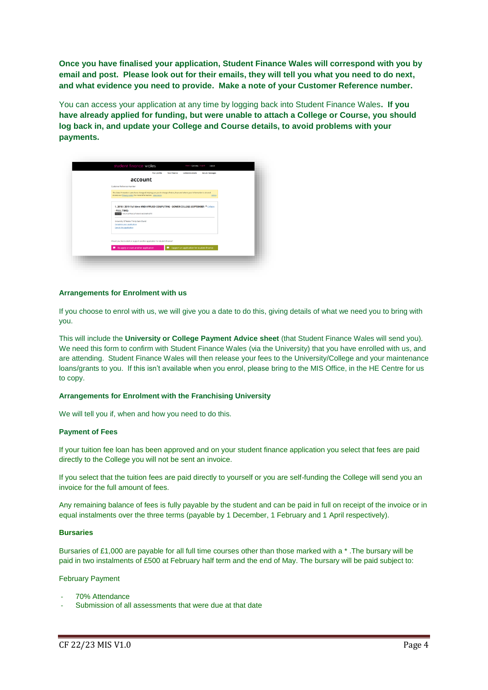**Once you have finalised your application, Student Finance Wales will correspond with you by email and post. Please look out for their emails, they will tell you what you need to do next, and what evidence you need to provide. Make a note of your Customer Reference number.**

You can access your application at any time by logging back into Student Finance Wales**. If you have already applied for funding, but were unable to attach a College or Course, you should log back in, and update your College and Course details, to avoid problems with your payments.**

| <b>Your profile</b><br>account                                                                                                                                                   |                                            | Secure messages |
|----------------------------------------------------------------------------------------------------------------------------------------------------------------------------------|--------------------------------------------|-----------------|
| Customer Reference Number                                                                                                                                                        |                                            |                 |
| The Data Protection Laws have changed, helping put you in charge of what, how and where your information is shared.<br>Access our Privacy notice for more information. view more |                                            | delete          |
| 1. 2018 / 2019 Full time HND APPLIED COMPUTING - GOWER COLLEGE (SEPTEMBER V College<br>- FULL TIME)<br><b>BIATUS</b> YOUR APPLICATION IS INCOMPLETE                              |                                            |                 |
| University Of Wales Trinity Saint David<br>Complete your application<br>Cancel this application                                                                                  |                                            |                 |
| Would you like to start or support another application for student finance?                                                                                                      |                                            |                 |
| Re-apply or start another application                                                                                                                                            | Support an application for student finance |                 |

## **Arrangements for Enrolment with us**

If you choose to enrol with us, we will give you a date to do this, giving details of what we need you to bring with you.

This will include the **University or College Payment Advice sheet** (that Student Finance Wales will send you). We need this form to confirm with Student Finance Wales (via the University) that you have enrolled with us, and are attending. Student Finance Wales will then release your fees to the University/College and your maintenance loans/grants to you. If this isn't available when you enrol, please bring to the MIS Office, in the HE Centre for us to copy.

# **Arrangements for Enrolment with the Franchising University**

We will tell you if, when and how you need to do this.

#### **Payment of Fees**

If your tuition fee loan has been approved and on your student finance application you select that fees are paid directly to the College you will not be sent an invoice.

If you select that the tuition fees are paid directly to yourself or you are self-funding the College will send you an invoice for the full amount of fees.

Any remaining balance of fees is fully payable by the student and can be paid in full on receipt of the invoice or in equal instalments over the three terms (payable by 1 December, 1 February and 1 April respectively).

#### **Bursaries**

Bursaries of £1,000 are payable for all full time courses other than those marked with a \*. The bursary will be paid in two instalments of £500 at February half term and the end of May. The bursary will be paid subject to:

## February Payment

- 70% Attendance
- Submission of all assessments that were due at that date